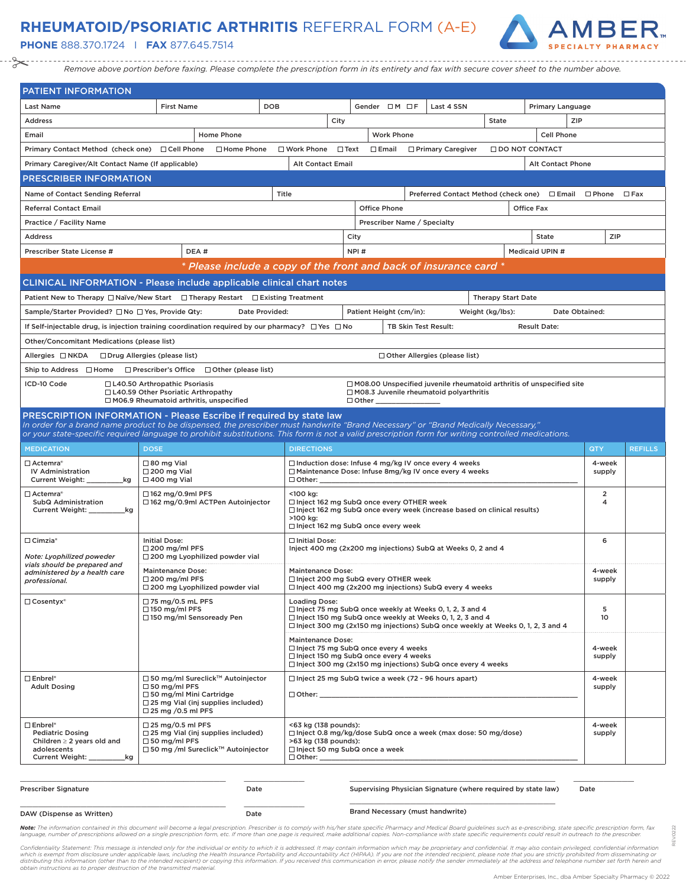### **RHEUMATOID/PSORIATIC ARTHRITIS** REFERRAL FORM (A-E)

**PHONE** 888.370.1724 I **FAX** 877.645.7514



*Remove above portion before faxing. Please complete the prescription form in its entirety and fax with secure cover sheet to the number above.*

| <b>PATIENT INFORMATION</b>                                                                                                                                                                                                                                                                                                                                     |                                                                                                                                                                 |                                                                                                              |                                                                                                                                                                                                                  |                                                      |                           |                          |                      |                |
|----------------------------------------------------------------------------------------------------------------------------------------------------------------------------------------------------------------------------------------------------------------------------------------------------------------------------------------------------------------|-----------------------------------------------------------------------------------------------------------------------------------------------------------------|--------------------------------------------------------------------------------------------------------------|------------------------------------------------------------------------------------------------------------------------------------------------------------------------------------------------------------------|------------------------------------------------------|---------------------------|--------------------------|----------------------|----------------|
| <b>Last Name</b>                                                                                                                                                                                                                                                                                                                                               | <b>DOB</b><br><b>First Name</b>                                                                                                                                 |                                                                                                              | Gender OM OF                                                                                                                                                                                                     | Last 4 SSN                                           |                           | Primary Language         |                      |                |
| <b>Address</b>                                                                                                                                                                                                                                                                                                                                                 |                                                                                                                                                                 | City                                                                                                         |                                                                                                                                                                                                                  |                                                      | <b>State</b>              |                          | ZIP                  |                |
| Email                                                                                                                                                                                                                                                                                                                                                          | <b>Home Phone</b>                                                                                                                                               |                                                                                                              | <b>Work Phone</b>                                                                                                                                                                                                |                                                      |                           | <b>Cell Phone</b>        |                      |                |
| Primary Contact Method (check one) □ Cell Phone                                                                                                                                                                                                                                                                                                                | □ Home Phone                                                                                                                                                    | $\Box$ Work Phone                                                                                            | $\Box$ Text<br>$\Box$ Email                                                                                                                                                                                      | □ Primary Caregiver                                  |                           | <b>IDO NOT CONTACT</b>   |                      |                |
| Primary Caregiver/Alt Contact Name (If applicable)                                                                                                                                                                                                                                                                                                             |                                                                                                                                                                 | <b>Alt Contact Email</b>                                                                                     |                                                                                                                                                                                                                  |                                                      |                           | <b>Alt Contact Phone</b> |                      |                |
| <b>PRESCRIBER INFORMATION</b>                                                                                                                                                                                                                                                                                                                                  |                                                                                                                                                                 |                                                                                                              |                                                                                                                                                                                                                  |                                                      |                           |                          |                      |                |
| Name of Contact Sending Referral                                                                                                                                                                                                                                                                                                                               |                                                                                                                                                                 | Title                                                                                                        |                                                                                                                                                                                                                  | Preferred Contact Method (check one) □ Email □ Phone |                           |                          |                      | $\Box$ Fax     |
| <b>Referral Contact Email</b>                                                                                                                                                                                                                                                                                                                                  |                                                                                                                                                                 |                                                                                                              | <b>Office Phone</b>                                                                                                                                                                                              |                                                      |                           | <b>Office Fax</b>        |                      |                |
| Practice / Facility Name                                                                                                                                                                                                                                                                                                                                       |                                                                                                                                                                 |                                                                                                              | Prescriber Name / Specialty                                                                                                                                                                                      |                                                      |                           |                          |                      |                |
| <b>Address</b>                                                                                                                                                                                                                                                                                                                                                 |                                                                                                                                                                 |                                                                                                              | City                                                                                                                                                                                                             |                                                      |                           | <b>State</b>             | <b>ZIP</b>           |                |
| Prescriber State License #                                                                                                                                                                                                                                                                                                                                     | DEA#                                                                                                                                                            |                                                                                                              | NPI#                                                                                                                                                                                                             |                                                      |                           | Medicaid UPIN #          |                      |                |
|                                                                                                                                                                                                                                                                                                                                                                | * Please include a copy of the front and back of insurance card *                                                                                               |                                                                                                              |                                                                                                                                                                                                                  |                                                      |                           |                          |                      |                |
|                                                                                                                                                                                                                                                                                                                                                                | <b>CLINICAL INFORMATION - Please include applicable clinical chart notes</b>                                                                                    |                                                                                                              |                                                                                                                                                                                                                  |                                                      |                           |                          |                      |                |
|                                                                                                                                                                                                                                                                                                                                                                | Patient New to Therapy □ Naïve/New Start □ Therapy Restart □ Existing Treatment                                                                                 |                                                                                                              |                                                                                                                                                                                                                  |                                                      | <b>Therapy Start Date</b> |                          |                      |                |
| Sample/Starter Provided? □ No □ Yes, Provide Qty:                                                                                                                                                                                                                                                                                                              | Date Provided:                                                                                                                                                  |                                                                                                              | Patient Height (cm/in):                                                                                                                                                                                          |                                                      | Weight (kg/lbs):          |                          | Date Obtained:       |                |
|                                                                                                                                                                                                                                                                                                                                                                | If Self-injectable drug, is injection training coordination required by our pharmacy? $\square$ Yes $\square$ No                                                |                                                                                                              | TB Skin Test Result:                                                                                                                                                                                             |                                                      |                           | <b>Result Date:</b>      |                      |                |
| Other/Concomitant Medications (please list)                                                                                                                                                                                                                                                                                                                    |                                                                                                                                                                 |                                                                                                              |                                                                                                                                                                                                                  |                                                      |                           |                          |                      |                |
| Allergies □ NKDA                                                                                                                                                                                                                                                                                                                                               | □ Drug Allergies (please list)                                                                                                                                  |                                                                                                              |                                                                                                                                                                                                                  | □ Other Allergies (please list)                      |                           |                          |                      |                |
| Ship to Address $\Box$ Home                                                                                                                                                                                                                                                                                                                                    | $\Box$ Prescriber's Office $\Box$ Other (please list)                                                                                                           |                                                                                                              |                                                                                                                                                                                                                  |                                                      |                           |                          |                      |                |
| ICD-10 Code                                                                                                                                                                                                                                                                                                                                                    | □ L40.50 Arthropathic Psoriasis                                                                                                                                 |                                                                                                              | $\Box$ M08.00 Unspecified juvenile rheumatoid arthritis of unspecified site                                                                                                                                      |                                                      |                           |                          |                      |                |
|                                                                                                                                                                                                                                                                                                                                                                | □ L40.59 Other Psoriatic Arthropathy<br>M06.9 Rheumatoid arthritis, unspecified                                                                                 |                                                                                                              | M08.3 Juvenile rheumatoid polyarthritis<br>$\Box$ Other $\_\_$                                                                                                                                                   |                                                      |                           |                          |                      |                |
| PRESCRIPTION INFORMATION - Please Escribe if required by state law<br>In order for a brand name product to be dispensed, the prescriber must handwrite "Brand Necessary" or "Brand Medically Necessary,"<br>or your state-specific required language to prohibit substitutions. This form is not a valid prescription form for writing controlled medications. |                                                                                                                                                                 |                                                                                                              |                                                                                                                                                                                                                  |                                                      |                           |                          |                      |                |
|                                                                                                                                                                                                                                                                                                                                                                |                                                                                                                                                                 |                                                                                                              |                                                                                                                                                                                                                  |                                                      |                           |                          |                      |                |
| <b>MEDICATION</b>                                                                                                                                                                                                                                                                                                                                              | <b>DOSE</b>                                                                                                                                                     | <b>DIRECTIONS</b>                                                                                            |                                                                                                                                                                                                                  |                                                      |                           |                          | QTY                  | <b>REFILLS</b> |
| $\Box$ Actemra $^\circ$<br><b>IV Administration</b><br>Current Weight: _<br>_kg                                                                                                                                                                                                                                                                                | $\Box$ 80 mg Vial<br>$\Box$ 200 mg Vial<br>$\Box$ 400 mg Vial                                                                                                   | $\Box$ Other:                                                                                                | $\Box$ Induction dose: Infuse 4 mg/kg IV once every 4 weeks<br>□ Maintenance Dose: Infuse 8mg/kg IV once every 4 weeks                                                                                           |                                                      |                           |                          | 4-week<br>supply     |                |
| $\Box$ Actemra $^\circ$<br>SubQ Administration<br>Current Weight: __<br>_kg                                                                                                                                                                                                                                                                                    | $\Box$ 162 mg/0.9ml PFS<br>□ 162 mg/0.9ml ACTPen Autoinjector                                                                                                   | <100 kg:<br>>100 kg:                                                                                         | □ Inject 162 mg SubQ once every OTHER week<br>□ Inject 162 mg SubQ once every week (increase based on clinical results)<br>$\Box$ Inject 162 mg SubQ once every week                                             |                                                      |                           |                          | $\overline{2}$<br>4  |                |
| $\Box$ Cimzia*<br>Note: Lyophilized poweder                                                                                                                                                                                                                                                                                                                    | <b>Initial Dose:</b><br>$\Box$ 200 mg/ml PFS                                                                                                                    | □ Initial Dose:                                                                                              | Inject 400 mg (2x200 mg injections) SubQ at Weeks 0, 2 and 4                                                                                                                                                     |                                                      |                           |                          | 6                    |                |
| vials should be prepared and<br>administered by a health care<br>professional.                                                                                                                                                                                                                                                                                 | $\Box$ 200 mg Lyophilized powder vial<br><b>Maintenance Dose:</b><br>$\Box$ 200 mg/ml PFS<br>$\Box$ 200 mg Lyophilized powder vial                              | <b>Maintenance Dose:</b>                                                                                     | □ Inject 200 mg SubQ every OTHER week<br>□ Inject 400 mg (2x200 mg injections) SubQ every 4 weeks                                                                                                                |                                                      |                           |                          | 4-week<br>supply     |                |
| $\Box$ Cosentyx <sup>®</sup>                                                                                                                                                                                                                                                                                                                                   | □ 75 mg/0.5 mL PFS<br>$\Box$ 150 mg/ml PFS<br>□ 150 mg/ml Sensoready Pen                                                                                        | <b>Loading Dose:</b>                                                                                         | □ Inject 75 mg SubQ once weekly at Weeks 0, 1, 2, 3 and 4<br>□ Inject 150 mg SubQ once weekly at Weeks 0, 1, 2, 3 and 4<br>$\Box$ Inject 300 mg (2x150 mg injections) SubQ once weekly at Weeks 0, 1, 2, 3 and 4 |                                                      |                           |                          | 5<br>10 <sup>°</sup> |                |
|                                                                                                                                                                                                                                                                                                                                                                |                                                                                                                                                                 | <b>Maintenance Dose:</b>                                                                                     | □ Inject 75 mg SubQ once every 4 weeks<br>□ Inject 150 mg SubQ once every 4 weeks<br>□ Inject 300 mg (2x150 mg injections) SubQ once every 4 weeks                                                               |                                                      |                           |                          | 4-week<br>supply     |                |
| $\square$ Enbrel $^\circ$<br><b>Adult Dosing</b>                                                                                                                                                                                                                                                                                                               | □ 50 mg/ml Sureclick™ Autoinjector<br>$\Box$ 50 mg/ml PFS<br>□ 50 mg/ml Mini Cartridge<br>$\Box$ 25 mg Vial (inj supplies included)<br>$\Box$ 25 mg /0.5 ml PFS |                                                                                                              | □ Inject 25 mg SubQ twice a week (72 - 96 hours apart)                                                                                                                                                           |                                                      |                           |                          | 4-week<br>supply     |                |
| $\Box$ Enbrel*<br><b>Pediatric Dosing</b><br>Children $\geq 2$ years old and<br>adolescents<br>Current Weight:<br>.kg                                                                                                                                                                                                                                          | $\Box$ 25 mg/0.5 ml PFS<br>$\Box$ 25 mg Vial (inj supplies included)<br>$\Box$ 50 mg/ml PFS<br>□ 50 mg /ml Sureclick™ Autoinjector                              | <63 kg (138 pounds):<br>>63 kg (138 pounds):<br>$\Box$ Inject 50 mg SubQ once a week<br>$\Box$ Other: $\_\_$ | □ Inject 0.8 mg/kg/dose SubQ once a week (max dose: 50 mg/dose)                                                                                                                                                  |                                                      |                           |                          | 4-week<br>supply     |                |

| <b>Prescriber Signature</b> | Date |  |
|-----------------------------|------|--|
|                             |      |  |
| DAW (Dispense as Written)   | Date |  |

Supervising Physician Signature (where required by state law) Date \_\_\_\_\_\_\_\_\_\_\_\_\_\_\_\_\_\_\_\_\_\_\_\_\_\_\_\_\_\_\_\_\_\_

REV.0222

0222 é

Brand Necessary (must handwrite)

**Note:** The information contained in this document will become a legal prescription. Prescriber is to comply with his/her state specific Pharmacy and Medical Board guidelines such as e-prescribing, state specific prescript

Confidentiality Statement: This message is intended only for the individual or entity to which it is addressed. It may contain information which may be proprietary and confidential. It may also contain privileged, confiden *obtain instructions as to proper destruction of the transmitted material.*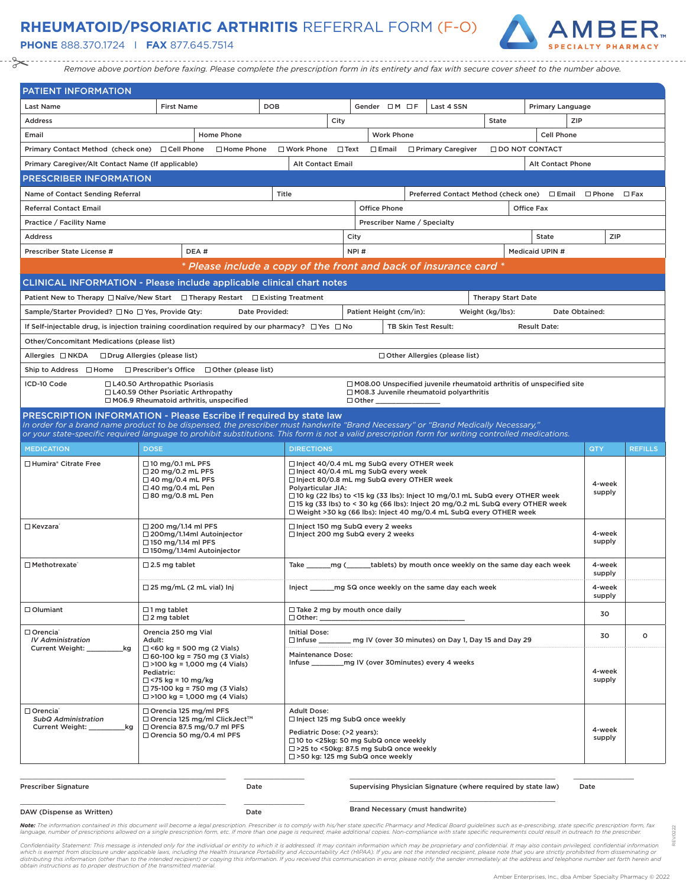# **RHEUMATOID/PSORIATIC ARTHRITIS** REFERRAL FORM (F-O)

**PHONE** 888.370.1724 I **FAX** 877.645.7514



*Remove above portion before faxing. Please complete the prescription form in its entirety and fax with secure cover sheet to the number above.*

| <b>PATIENT INFORMATION</b>                                |                                                                                                                                                                                                                                                                                          |                                                                                                                                                                        |                         |                                                                             |                           |                        |                          |                  |                |
|-----------------------------------------------------------|------------------------------------------------------------------------------------------------------------------------------------------------------------------------------------------------------------------------------------------------------------------------------------------|------------------------------------------------------------------------------------------------------------------------------------------------------------------------|-------------------------|-----------------------------------------------------------------------------|---------------------------|------------------------|--------------------------|------------------|----------------|
| <b>Last Name</b>                                          | <b>First Name</b><br><b>DOB</b>                                                                                                                                                                                                                                                          |                                                                                                                                                                        | Gender OM OF            | Last 4 SSN                                                                  |                           |                        | Primary Language         |                  |                |
| <b>Address</b>                                            |                                                                                                                                                                                                                                                                                          | City                                                                                                                                                                   |                         |                                                                             | State                     |                        | ZIP                      |                  |                |
| Email                                                     | <b>Home Phone</b>                                                                                                                                                                                                                                                                        |                                                                                                                                                                        | <b>Work Phone</b>       |                                                                             |                           |                        | Cell Phone               |                  |                |
| Primary Contact Method (check one) □ Cell Phone           | □ Home Phone                                                                                                                                                                                                                                                                             | $\Box$ Text<br>□ Work Phone                                                                                                                                            | $\Box$ Email            | □ Primary Caregiver                                                         |                           | <b>IDO NOT CONTACT</b> |                          |                  |                |
| Primary Caregiver/Alt Contact Name (If applicable)        |                                                                                                                                                                                                                                                                                          | <b>Alt Contact Email</b>                                                                                                                                               |                         |                                                                             |                           |                        | <b>Alt Contact Phone</b> |                  |                |
| <b>PRESCRIBER INFORMATION</b>                             |                                                                                                                                                                                                                                                                                          |                                                                                                                                                                        |                         |                                                                             |                           |                        |                          |                  |                |
| Name of Contact Sending Referral                          |                                                                                                                                                                                                                                                                                          | Title                                                                                                                                                                  |                         | Preferred Contact Method (check one) □ Email □ Phone                        |                           |                        |                          |                  | $\Box$ Fax     |
| <b>Referral Contact Email</b>                             |                                                                                                                                                                                                                                                                                          |                                                                                                                                                                        | <b>Office Phone</b>     |                                                                             |                           | Office Fax             |                          |                  |                |
| Practice / Facility Name                                  |                                                                                                                                                                                                                                                                                          |                                                                                                                                                                        |                         | Prescriber Name / Specialty                                                 |                           |                        |                          |                  |                |
| <b>Address</b>                                            |                                                                                                                                                                                                                                                                                          | City                                                                                                                                                                   |                         |                                                                             |                           | <b>State</b>           |                          | ZIP              |                |
| Prescriber State License #                                | DEA#                                                                                                                                                                                                                                                                                     |                                                                                                                                                                        | NPI#                    |                                                                             |                           | Medicaid UPIN #        |                          |                  |                |
|                                                           | * Please include a copy of the front and back of insurance card *                                                                                                                                                                                                                        |                                                                                                                                                                        |                         |                                                                             |                           |                        |                          |                  |                |
|                                                           | <b>CLINICAL INFORMATION - Please include applicable clinical chart notes</b>                                                                                                                                                                                                             |                                                                                                                                                                        |                         |                                                                             |                           |                        |                          |                  |                |
|                                                           | Patient New to Therapy $\Box$ Naïve/New Start $\Box$ Therapy Restart $\Box$ Existing Treatment                                                                                                                                                                                           |                                                                                                                                                                        |                         |                                                                             | <b>Therapy Start Date</b> |                        |                          |                  |                |
| Sample/Starter Provided? □ No □ Yes, Provide Qty:         | Date Provided:                                                                                                                                                                                                                                                                           |                                                                                                                                                                        | Patient Height (cm/in): |                                                                             | Weight (kg/lbs):          |                        | Date Obtained:           |                  |                |
|                                                           | If Self-injectable drug, is injection training coordination required by our pharmacy? $\square$ Yes $\square$ No                                                                                                                                                                         |                                                                                                                                                                        |                         | TB Skin Test Result:                                                        |                           | <b>Result Date:</b>    |                          |                  |                |
| Other/Concomitant Medications (please list)               |                                                                                                                                                                                                                                                                                          |                                                                                                                                                                        |                         |                                                                             |                           |                        |                          |                  |                |
| Allergies □ NKDA □ Drug Allergies (please list)           |                                                                                                                                                                                                                                                                                          |                                                                                                                                                                        |                         | □ Other Allergies (please list)                                             |                           |                        |                          |                  |                |
| Ship to Address □ Home                                    | $\Box$ Prescriber's Office $\Box$ Other (please list)                                                                                                                                                                                                                                    |                                                                                                                                                                        |                         |                                                                             |                           |                        |                          |                  |                |
| ICD-10 Code                                               | □ L40.50 Arthropathic Psoriasis                                                                                                                                                                                                                                                          |                                                                                                                                                                        |                         | $\Box$ M08.00 Unspecified juvenile rheumatoid arthritis of unspecified site |                           |                        |                          |                  |                |
|                                                           | □ L40.59 Other Psoriatic Arthropathy<br>$\Box$ M06.9 Rheumatoid arthritis, unspecified                                                                                                                                                                                                   |                                                                                                                                                                        | $\Box$ Other $\_\_$     | M08.3 Juvenile rheumatoid polyarthritis                                     |                           |                        |                          |                  |                |
|                                                           | PRESCRIPTION INFORMATION - Please Escribe if required by state law                                                                                                                                                                                                                       |                                                                                                                                                                        |                         |                                                                             |                           |                        |                          |                  |                |
|                                                           | In order for a brand name product to be dispensed, the prescriber must handwrite "Brand Necessary" or "Brand Medically Necessary,"<br>or your state-specific required language to prohibit substitutions. This form is not a valid prescription form for writing controlled medications. |                                                                                                                                                                        |                         |                                                                             |                           |                        |                          |                  |                |
| <b>MEDICATION</b>                                         | <b>DOSE</b>                                                                                                                                                                                                                                                                              | <b>DIRECTIONS</b>                                                                                                                                                      |                         |                                                                             |                           |                        |                          | QTY              | <b>REFILLS</b> |
|                                                           |                                                                                                                                                                                                                                                                                          |                                                                                                                                                                        |                         |                                                                             |                           |                        |                          |                  |                |
| □ Humira® Citrate Free                                    | $\Box$ 10 mg/0.1 mL PFS<br>$\Box$ 20 mg/0.2 mL PFS                                                                                                                                                                                                                                       | □ Inject 40/0.4 mL mg SubQ every OTHER week<br>□ Inject 40/0.4 mL mg SubQ every week                                                                                   |                         |                                                                             |                           |                        |                          |                  |                |
|                                                           | $\Box$ 40 mg/0.4 mL PFS<br>$\Box$ 40 mg/0.4 mL Pen                                                                                                                                                                                                                                       | □ Inject 80/0.8 mL mg SubQ every OTHER week<br>Polyarticular JIA:                                                                                                      |                         |                                                                             |                           |                        |                          | 4-week<br>supply |                |
|                                                           | $\Box$ 80 mg/0.8 mL Pen                                                                                                                                                                                                                                                                  | □ 10 kg (22 lbs) to <15 kg (33 lbs): Inject 10 mg/0.1 mL SubQ every OTHER week<br>$\Box$ 15 kg (33 lbs) to < 30 kg (66 lbs): Inject 20 mg/0.2 mL SubQ every OTHER week |                         |                                                                             |                           |                        |                          |                  |                |
|                                                           |                                                                                                                                                                                                                                                                                          | □ Weight >30 kg (66 lbs): Inject 40 mg/0.4 mL SubQ every OTHER week                                                                                                    |                         |                                                                             |                           |                        |                          |                  |                |
| □ Kevzara`                                                | $\Box$ 200 mg/1.14 ml PFS<br>□ 200mg/1.14ml Autoinjector                                                                                                                                                                                                                                 | $\Box$ Inject 150 mg SubQ every 2 weeks<br>□ Inject 200 mg SubQ every 2 weeks                                                                                          |                         |                                                                             |                           |                        |                          | 4-week           |                |
|                                                           | $\Box$ 150 mg/1.14 ml PFS                                                                                                                                                                                                                                                                |                                                                                                                                                                        |                         |                                                                             |                           |                        |                          | supply           |                |
| □ Methotrexate <sup>®</sup>                               | □150mg/1.14ml Autoinjector                                                                                                                                                                                                                                                               |                                                                                                                                                                        |                         |                                                                             |                           |                        |                          |                  |                |
|                                                           | $\square$ 2.5 mg tablet                                                                                                                                                                                                                                                                  | Take _________ mg (________tablets) by mouth once weekly on the same day each week                                                                                     |                         |                                                                             |                           |                        |                          | 4-week<br>supply |                |
|                                                           | $\Box$ 25 mg/mL (2 mL vial) Inj                                                                                                                                                                                                                                                          | Inject _______ mg SQ once weekly on the same day each week                                                                                                             |                         |                                                                             |                           |                        |                          | 4-week           |                |
|                                                           |                                                                                                                                                                                                                                                                                          |                                                                                                                                                                        |                         |                                                                             |                           |                        |                          | supply           |                |
| $\Box$ Olumiant                                           | $\Box$ 1 mg tablet<br>$\square$ 2 mg tablet                                                                                                                                                                                                                                              | $\Box$ Take 2 mg by mouth once daily<br>$\Box$ Other:                                                                                                                  |                         |                                                                             |                           |                        |                          | 30               |                |
| □ Orencia <sup>®</sup>                                    | Orencia 250 mg Vial                                                                                                                                                                                                                                                                      | <b>Initial Dose:</b>                                                                                                                                                   |                         |                                                                             |                           |                        |                          | 30               | $\circ$        |
| <b>IV Administration</b><br><b>Current Weight:</b><br>_kg | Adult:<br>$\Box$ <60 kg = 500 mg (2 Vials)                                                                                                                                                                                                                                               | $\Box$ Infuse mail V (over 30 minutes) on Day 1. Day 15 and Day 29                                                                                                     |                         |                                                                             |                           |                        |                          |                  |                |
|                                                           | $\Box$ 60-100 kg = 750 mg (3 Vials)<br>$\Box$ >100 kg = 1,000 mg (4 Vials)                                                                                                                                                                                                               | <b>Maintenance Dose:</b><br>Infuse ___________ mg IV (over 30 minutes) every 4 weeks                                                                                   |                         |                                                                             |                           |                        |                          |                  |                |
|                                                           | Pediatric:<br>$\Box$ <75 kg = 10 mg/kg                                                                                                                                                                                                                                                   |                                                                                                                                                                        |                         |                                                                             |                           |                        |                          | 4-week<br>supply |                |
|                                                           | $\Box$ 75-100 kg = 750 mg (3 Vials)                                                                                                                                                                                                                                                      |                                                                                                                                                                        |                         |                                                                             |                           |                        |                          |                  |                |
| □ Orencia®                                                | $\Box$ >100 kg = 1,000 mg (4 Vials)                                                                                                                                                                                                                                                      |                                                                                                                                                                        |                         |                                                                             |                           |                        |                          |                  |                |
| <b>SubQ Administration</b>                                | $\Box$ Orencia 125 mg/ml PFS<br>□ Orencia 125 mg/ml ClickJect™                                                                                                                                                                                                                           | <b>Adult Dose:</b><br>$\Box$ Inject 125 mg SubQ once weekly                                                                                                            |                         |                                                                             |                           |                        |                          |                  |                |
| Current Weight:<br>_kg                                    | □ Orencia 87.5 mg/0.7 ml PFS<br>□ Orencia 50 mg/0.4 ml PFS                                                                                                                                                                                                                               | Pediatric Dose: (>2 years):                                                                                                                                            |                         |                                                                             |                           |                        |                          | 4-week<br>supply |                |
|                                                           |                                                                                                                                                                                                                                                                                          | □ 10 to <25kg: 50 mg SubQ once weekly<br>□ >25 to <50kg: 87.5 mg SubQ once weekly                                                                                      |                         |                                                                             |                           |                        |                          |                  |                |
|                                                           |                                                                                                                                                                                                                                                                                          | $\Box$ >50 kg: 125 mg SubQ once weekly                                                                                                                                 |                         |                                                                             |                           |                        |                          |                  |                |

| <b>Prescriber Signature</b> | Date | Supervising Physician Signature (where required by state law) |
|-----------------------------|------|---------------------------------------------------------------|
| DAW (Dispense as Written)   | Date | Brand Necessary (must handwrite)                              |

\_\_\_\_\_\_\_\_\_\_\_\_\_\_\_\_\_\_\_\_\_\_\_\_\_\_\_\_\_\_\_\_\_\_ \_\_\_\_\_\_\_\_\_\_

cian Signature (where required by state law) Date

\_\_\_\_\_\_\_\_\_\_\_\_\_\_\_\_\_\_\_\_\_\_\_\_\_\_\_\_\_\_\_\_\_\_ \_\_\_\_\_\_\_\_\_\_

REV.0222

0222 è

Note: The information contained in this document will become a legal prescription. Prescriber is to comply with his/her state specific Pharmacy and Medical Board guidelines such as e-prescribing, state specific prescriptio language, number of prescriptions allowed on a single prescription form, etc. If more than one page is required, make additional copies. Non-compliance with state specific requirements could result in outreach to the presc

Confidentiality Statement: This message is intended only for the individual or entity to which it is addressed. It may contain information which may be proprietary and confidential. It may also contain privileged, confiden *obtain instructions as to proper destruction of the transmitted material.*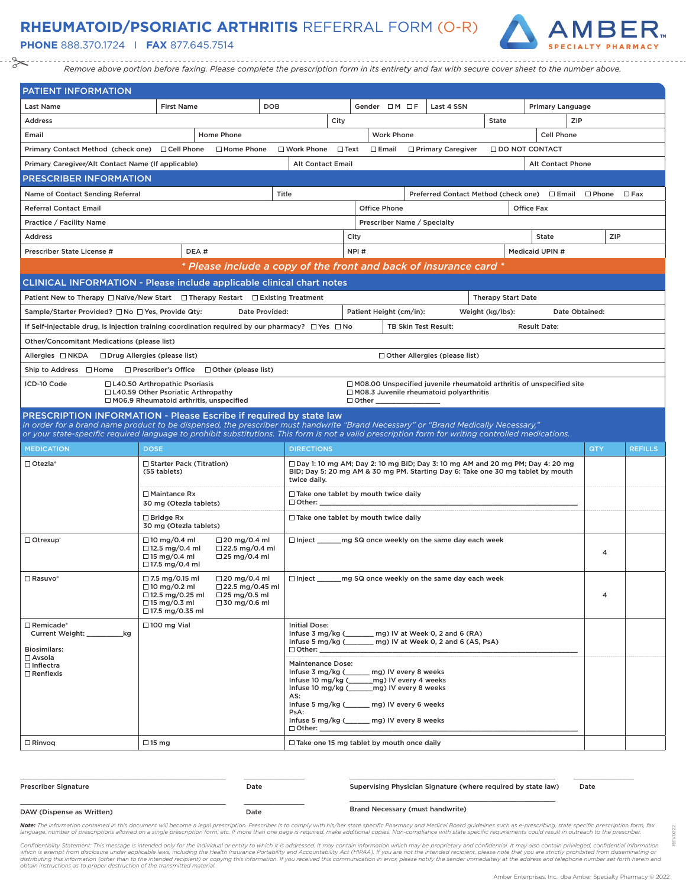# **RHEUMATOID/PSORIATIC ARTHRITIS** REFERRAL FORM (O-R)

**PHONE** 888.370.1724 I **FAX** 877.645.7514



*Remove above portion before faxing. Please complete the prescription form in its entirety and fax with secure cover sheet to the number above.*

| PATIENT INFORMATION                                                                                                                                                                                                                                                                      |                                                                                                                            |                                                                                        |                                         |             |                                                                                                                                                                                    |                                                                                                                                                                         |                           |                       |                |                |
|------------------------------------------------------------------------------------------------------------------------------------------------------------------------------------------------------------------------------------------------------------------------------------------|----------------------------------------------------------------------------------------------------------------------------|----------------------------------------------------------------------------------------|-----------------------------------------|-------------|------------------------------------------------------------------------------------------------------------------------------------------------------------------------------------|-------------------------------------------------------------------------------------------------------------------------------------------------------------------------|---------------------------|-----------------------|----------------|----------------|
| <b>Last Name</b>                                                                                                                                                                                                                                                                         | <b>First Name</b>                                                                                                          | <b>DOB</b>                                                                             |                                         |             | Gender $\Box M \Box F$                                                                                                                                                             | Last 4 SSN                                                                                                                                                              |                           | Primary Language      |                |                |
| <b>Address</b>                                                                                                                                                                                                                                                                           |                                                                                                                            |                                                                                        |                                         | City        |                                                                                                                                                                                    |                                                                                                                                                                         | <b>State</b>              |                       | <b>ZIP</b>     |                |
| Email                                                                                                                                                                                                                                                                                    |                                                                                                                            | <b>Home Phone</b>                                                                      |                                         |             | <b>Work Phone</b>                                                                                                                                                                  |                                                                                                                                                                         |                           | <b>Cell Phone</b>     |                |                |
| Primary Contact Method (check one) □ Cell Phone                                                                                                                                                                                                                                          |                                                                                                                            | $\Box$ Home Phone                                                                      | $\Box$ Work Phone                       | $\Box$ Text | $\square$ Email                                                                                                                                                                    | □ Primary Caregiver                                                                                                                                                     |                           | $\Box$ DO NOT CONTACT |                |                |
| Primary Caregiver/Alt Contact Name (If applicable)                                                                                                                                                                                                                                       |                                                                                                                            |                                                                                        | <b>Alt Contact Email</b>                |             |                                                                                                                                                                                    |                                                                                                                                                                         |                           | Alt Contact Phone     |                |                |
| PRESCRIBER INFORMATION                                                                                                                                                                                                                                                                   |                                                                                                                            |                                                                                        |                                         |             |                                                                                                                                                                                    |                                                                                                                                                                         |                           |                       |                |                |
| Name of Contact Sending Referral                                                                                                                                                                                                                                                         |                                                                                                                            |                                                                                        | Title                                   |             |                                                                                                                                                                                    | Preferred Contact Method (check one) □ Email □ Phone                                                                                                                    |                           |                       |                | $\Box$ Fax     |
| <b>Referral Contact Email</b>                                                                                                                                                                                                                                                            |                                                                                                                            |                                                                                        |                                         |             | <b>Office Phone</b>                                                                                                                                                                |                                                                                                                                                                         |                           | Office Fax            |                |                |
| Practice / Facility Name                                                                                                                                                                                                                                                                 |                                                                                                                            |                                                                                        |                                         |             | Prescriber Name / Specialty                                                                                                                                                        |                                                                                                                                                                         |                           |                       |                |                |
| <b>Address</b>                                                                                                                                                                                                                                                                           |                                                                                                                            |                                                                                        |                                         |             | City                                                                                                                                                                               |                                                                                                                                                                         |                           | <b>State</b>          |                | ZIP            |
| Prescriber State License #                                                                                                                                                                                                                                                               | DEA#                                                                                                                       |                                                                                        |                                         |             | NPI#                                                                                                                                                                               |                                                                                                                                                                         |                           | Medicaid UPIN #       |                |                |
|                                                                                                                                                                                                                                                                                          |                                                                                                                            | * Please include a copy of the front and back of insurance card *                      |                                         |             |                                                                                                                                                                                    |                                                                                                                                                                         |                           |                       |                |                |
| <b>CLINICAL INFORMATION - Please include applicable clinical chart notes</b>                                                                                                                                                                                                             |                                                                                                                            |                                                                                        |                                         |             |                                                                                                                                                                                    |                                                                                                                                                                         |                           |                       |                |                |
| Patient New to Therapy □ Naïve/New Start □ Therapy Restart □ Existing Treatment                                                                                                                                                                                                          |                                                                                                                            |                                                                                        |                                         |             |                                                                                                                                                                                    |                                                                                                                                                                         | <b>Therapy Start Date</b> |                       |                |                |
| Sample/Starter Provided? □ No □ Yes, Provide Qty:                                                                                                                                                                                                                                        |                                                                                                                            | Date Provided:                                                                         |                                         |             | Patient Height (cm/in):                                                                                                                                                            |                                                                                                                                                                         | Weight (kg/lbs):          |                       | Date Obtained: |                |
| If Self-injectable drug, is injection training coordination required by our pharmacy? $\square$ Yes $\square$ No                                                                                                                                                                         |                                                                                                                            |                                                                                        |                                         |             |                                                                                                                                                                                    | TB Skin Test Result:                                                                                                                                                    |                           | <b>Result Date:</b>   |                |                |
| Other/Concomitant Medications (please list)                                                                                                                                                                                                                                              |                                                                                                                            |                                                                                        |                                         |             |                                                                                                                                                                                    |                                                                                                                                                                         |                           |                       |                |                |
| Allergies □ NKDA                                                                                                                                                                                                                                                                         | □ Drug Allergies (please list)                                                                                             |                                                                                        |                                         |             |                                                                                                                                                                                    | $\Box$ Other Allergies (please list)                                                                                                                                    |                           |                       |                |                |
| Ship to Address □ Home                                                                                                                                                                                                                                                                   |                                                                                                                            | $\Box$ Prescriber's Office $\Box$ Other (please list)                                  |                                         |             |                                                                                                                                                                                    |                                                                                                                                                                         |                           |                       |                |                |
| ICD-10 Code                                                                                                                                                                                                                                                                              | □ L40.50 Arthropathic Psoriasis<br>□ L40.59 Other Psoriatic Arthropathy<br>□ M06.9 Rheumatoid arthritis, unspecified       |                                                                                        |                                         |             | $\Box$ Other $\_\_$                                                                                                                                                                | $\Box$ M08.00 Unspecified juvenile rheumatoid arthritis of unspecified site<br>$\Box$ M08.3 Juvenile rheumatoid polyarthritis                                           |                           |                       |                |                |
| PRESCRIPTION INFORMATION - Please Escribe if required by state law                                                                                                                                                                                                                       |                                                                                                                            |                                                                                        |                                         |             |                                                                                                                                                                                    |                                                                                                                                                                         |                           |                       |                |                |
| In order for a brand name product to be dispensed, the prescriber must handwrite "Brand Necessary" or "Brand Medically Necessary,"<br>or your state-specific required language to prohibit substitutions. This form is not a valid prescription form for writing controlled medications. |                                                                                                                            |                                                                                        |                                         |             |                                                                                                                                                                                    |                                                                                                                                                                         |                           |                       |                |                |
| <b>MEDICATION</b>                                                                                                                                                                                                                                                                        | <b>DOSE</b>                                                                                                                |                                                                                        | <b>DIRECTIONS</b>                       |             |                                                                                                                                                                                    |                                                                                                                                                                         |                           |                       | QTY            | <b>REFILLS</b> |
| $\Box$ Otezla*                                                                                                                                                                                                                                                                           | □ Starter Pack (Titration)                                                                                                 |                                                                                        |                                         |             |                                                                                                                                                                                    |                                                                                                                                                                         |                           |                       |                |                |
|                                                                                                                                                                                                                                                                                          | (55 tablets)                                                                                                               |                                                                                        |                                         |             |                                                                                                                                                                                    |                                                                                                                                                                         |                           |                       |                |                |
|                                                                                                                                                                                                                                                                                          |                                                                                                                            |                                                                                        | twice daily.                            |             |                                                                                                                                                                                    | $\Box$ Day 1: 10 mg AM; Day 2: 10 mg BID; Day 3: 10 mg AM and 20 mg PM; Day 4: 20 mg<br>BID; Day 5: 20 mg AM & 30 mg PM. Starting Day 6: Take one 30 mg tablet by mouth |                           |                       |                |                |
|                                                                                                                                                                                                                                                                                          | $\Box$ Maintance Rx<br>30 mg (Otezla tablets)                                                                              |                                                                                        | $\Box$ Other:                           |             | $\Box$ Take one tablet by mouth twice daily                                                                                                                                        |                                                                                                                                                                         |                           |                       |                |                |
|                                                                                                                                                                                                                                                                                          | $\Box$ Bridge Rx<br>30 mg (Otezla tablets)                                                                                 |                                                                                        |                                         |             | $\Box$ Take one tablet by mouth twice daily                                                                                                                                        |                                                                                                                                                                         |                           |                       |                |                |
| Otrexup <sup>®</sup>                                                                                                                                                                                                                                                                     | $\Box$ 10 mg/0.4 ml<br>$\Box$ 12.5 mg/0.4 ml<br>$\Box$ 15 mg/0.4 ml<br>□ 17.5 mg/0.4 ml                                    | $\Box$ 20 mg/0.4 ml<br>$\Box$ 22.5 mg/0.4 ml<br>$\Box$ 25 mg/0.4 ml                    |                                         |             |                                                                                                                                                                                    | □ Inject ________ mg SQ once weekly on the same day each week                                                                                                           |                           |                       | 4              |                |
| $\Box$ Rasuvo*                                                                                                                                                                                                                                                                           | $\Box$ 7.5 mg/0.15 ml<br>$\Box$ 10 mg/0.2 ml<br>$\Box$ 12.5 mg/0.25 ml<br>$\Box$ 15 mg/0.3 ml<br>$\square$ 17.5 mg/0.35 ml | $\Box$ 20 mg/0.4 ml<br>$\Box$ 22.5 mg/0.45 ml<br>$\Box$ 25 mg/0.5 ml<br>□ 30 mg/0.6 ml | $\Box$ Inject                           |             |                                                                                                                                                                                    | mg SQ once weekly on the same day each week                                                                                                                             |                           |                       | 4              |                |
| $\Box$ Remicade*<br>Current Weight: ____________kg<br><b>Biosimilars:</b>                                                                                                                                                                                                                | $\Box$ 100 mg Vial                                                                                                         |                                                                                        | <b>Initial Dose:</b><br>$\Box$ Other:   |             |                                                                                                                                                                                    | Infuse 3 mg/kg (_______ mg) IV at Week 0, 2 and 6 (RA)<br>Infuse 5 mg/kg (______ mg) IV at Week 0, 2 and 6 (AS, PsA)                                                    |                           |                       |                |                |
| □ Avsola<br>$\Box$ Inflectra<br>$\Box$ Renflexis                                                                                                                                                                                                                                         |                                                                                                                            |                                                                                        | <b>Maintenance Dose:</b><br>AS:<br>PsA: |             | Infuse 3 mg/kg (_____ mg) IV every 8 weeks<br>Infuse 10 mg/kg (______ mg) IV every 4 weeks<br>Infuse 10 mg/kg (______ mg) IV every 8 weeks<br>Infuse 5 mg/kg (mg) IV every 6 weeks |                                                                                                                                                                         |                           |                       |                |                |
|                                                                                                                                                                                                                                                                                          |                                                                                                                            |                                                                                        | $\Box$ Other: $\_\_$                    |             | Infuse 5 mg/kg (_____ mg) IV every 8 weeks                                                                                                                                         |                                                                                                                                                                         |                           |                       |                |                |

| <b>Prescriber Signature</b> | Date | Supervising Physician Signature (where required by state law) | Date |
|-----------------------------|------|---------------------------------------------------------------|------|
| DAW (Dispense as Written)   | Date | <b>Brand Necessary (must handwrite)</b>                       |      |

Note: The information contained in this document will become a legal prescription. Prescriber is to comply with his/her state specific Pharmacy and Medical Board guidelines such as e-prescribing, state specific prescriptio language, number of prescriptions allowed on a single prescription form, etc. If more than one page is required, make additional copies. Non-compliance with state specific requirements could result in outreach to the presc

Confidentiality Statement: This message is intended only for the individual or entity to which it is addressed. It may contain information which may be proprietary and confidential. It may also contain privileged, confiden

REV.0222

0222 è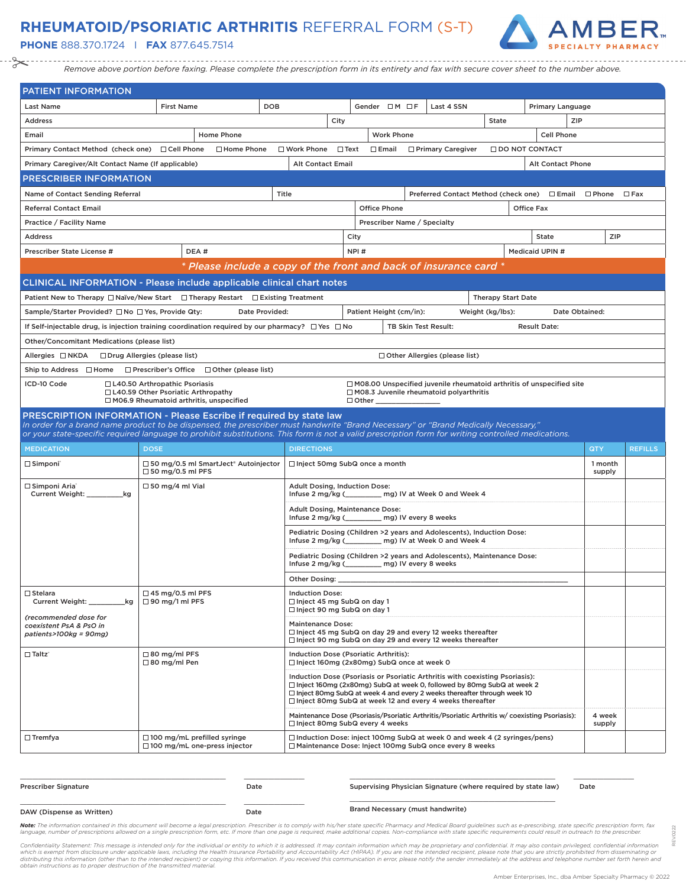### **RHEUMATOID/PSORIATIC ARTHRITIS** REFERRAL FORM (S-T)

**PHONE** 888.370.1724 I **FAX** 877.645.7514



*Remove above portion before faxing. Please complete the prescription form in its entirety and fax with secure cover sheet to the number above.*

| <b>PATIENT INFORMATION</b>                                                                                                                                                                               |                                                                                                                      |                                                                   |                                                                                         |             |              |                             |                                                                                                                                                                                                                                                                                                              |                           |                          |                |                   |                |
|----------------------------------------------------------------------------------------------------------------------------------------------------------------------------------------------------------|----------------------------------------------------------------------------------------------------------------------|-------------------------------------------------------------------|-----------------------------------------------------------------------------------------|-------------|--------------|-----------------------------|--------------------------------------------------------------------------------------------------------------------------------------------------------------------------------------------------------------------------------------------------------------------------------------------------------------|---------------------------|--------------------------|----------------|-------------------|----------------|
| <b>Last Name</b>                                                                                                                                                                                         | <b>First Name</b>                                                                                                    |                                                                   | <b>DOB</b>                                                                              |             |              | Gender $\Box M \Box F$      | Last 4 SSN                                                                                                                                                                                                                                                                                                   |                           | Primary Language         |                |                   |                |
| <b>Address</b>                                                                                                                                                                                           |                                                                                                                      |                                                                   |                                                                                         | City        |              |                             |                                                                                                                                                                                                                                                                                                              | State                     |                          | ZIP            |                   |                |
| Email                                                                                                                                                                                                    |                                                                                                                      | Home Phone                                                        |                                                                                         |             |              | <b>Work Phone</b>           |                                                                                                                                                                                                                                                                                                              |                           | Cell Phone               |                |                   |                |
| Primary Contact Method (check one) □ Cell Phone                                                                                                                                                          |                                                                                                                      | □ Home Phone                                                      | $\square$ Work Phone                                                                    | $\Box$ Text |              | $\Box$ Email                | □ Primary Caregiver                                                                                                                                                                                                                                                                                          |                           | <b>IDO NOT CONTACT</b>   |                |                   |                |
| Primary Caregiver/Alt Contact Name (If applicable)                                                                                                                                                       |                                                                                                                      |                                                                   | <b>Alt Contact Email</b>                                                                |             |              |                             |                                                                                                                                                                                                                                                                                                              |                           | <b>Alt Contact Phone</b> |                |                   |                |
| <b>PRESCRIBER INFORMATION</b>                                                                                                                                                                            |                                                                                                                      |                                                                   |                                                                                         |             |              |                             |                                                                                                                                                                                                                                                                                                              |                           |                          |                |                   |                |
| Name of Contact Sending Referral                                                                                                                                                                         |                                                                                                                      |                                                                   | Title                                                                                   |             |              |                             | Preferred Contact Method (check one) □ Email □ Phone □ Fax                                                                                                                                                                                                                                                   |                           |                          |                |                   |                |
| <b>Referral Contact Email</b>                                                                                                                                                                            |                                                                                                                      |                                                                   |                                                                                         |             |              | <b>Office Phone</b>         |                                                                                                                                                                                                                                                                                                              |                           | Office Fax               |                |                   |                |
| Practice / Facility Name                                                                                                                                                                                 |                                                                                                                      |                                                                   |                                                                                         |             |              | Prescriber Name / Specialty |                                                                                                                                                                                                                                                                                                              |                           |                          |                |                   |                |
| <b>Address</b>                                                                                                                                                                                           |                                                                                                                      |                                                                   |                                                                                         |             | City         |                             |                                                                                                                                                                                                                                                                                                              |                           | <b>State</b>             |                | ZIP               |                |
| Prescriber State License #                                                                                                                                                                               | DEA#                                                                                                                 |                                                                   |                                                                                         |             | NPI#         |                             |                                                                                                                                                                                                                                                                                                              |                           | Medicaid UPIN #          |                |                   |                |
|                                                                                                                                                                                                          |                                                                                                                      | * Please include a copy of the front and back of insurance card * |                                                                                         |             |              |                             |                                                                                                                                                                                                                                                                                                              |                           |                          |                |                   |                |
| <b>CLINICAL INFORMATION - Please include applicable clinical chart notes</b>                                                                                                                             |                                                                                                                      |                                                                   |                                                                                         |             |              |                             |                                                                                                                                                                                                                                                                                                              |                           |                          |                |                   |                |
| Patient New to Therapy □ Naïve/New Start □ Therapy Restart □ Existing Treatment                                                                                                                          |                                                                                                                      |                                                                   |                                                                                         |             |              |                             |                                                                                                                                                                                                                                                                                                              | <b>Therapy Start Date</b> |                          |                |                   |                |
| Sample/Starter Provided? □ No □ Yes, Provide Qty:                                                                                                                                                        |                                                                                                                      | Date Provided:                                                    |                                                                                         |             |              | Patient Height (cm/in):     |                                                                                                                                                                                                                                                                                                              | Weight (kg/lbs):          |                          | Date Obtained: |                   |                |
| If Self-injectable drug, is injection training coordination required by our pharmacy? $\square$ Yes $\square$ No                                                                                         |                                                                                                                      |                                                                   |                                                                                         |             |              |                             | TB Skin Test Result:                                                                                                                                                                                                                                                                                         |                           | <b>Result Date:</b>      |                |                   |                |
| Other/Concomitant Medications (please list)                                                                                                                                                              |                                                                                                                      |                                                                   |                                                                                         |             |              |                             |                                                                                                                                                                                                                                                                                                              |                           |                          |                |                   |                |
| Allergies □ NKDA □ Drug Allergies (please list)                                                                                                                                                          |                                                                                                                      |                                                                   |                                                                                         |             |              |                             | $\Box$ Other Allergies (please list)                                                                                                                                                                                                                                                                         |                           |                          |                |                   |                |
| Ship to Address $\Box$ Home                                                                                                                                                                              |                                                                                                                      | $\Box$ Prescriber's Office $\Box$ Other (please list)             |                                                                                         |             |              |                             |                                                                                                                                                                                                                                                                                                              |                           |                          |                |                   |                |
| ICD-10 Code                                                                                                                                                                                              | □ L40.50 Arthropathic Psoriasis<br>□ L40.59 Other Psoriatic Arthropathy<br>□ M06.9 Rheumatoid arthritis, unspecified |                                                                   |                                                                                         |             | $\Box$ Other |                             | $\Box$ M08.00 Unspecified juvenile rheumatoid arthritis of unspecified site<br>$\Box$ M08.3 Juvenile rheumatoid polyarthritis                                                                                                                                                                                |                           |                          |                |                   |                |
| PRESCRIPTION INFORMATION - Please Escribe if required by state law<br>In order for a brand name product to be dispensed, the prescriber must handwrite "Brand Necessary" or "Brand Medically Necessary," |                                                                                                                      |                                                                   |                                                                                         |             |              |                             |                                                                                                                                                                                                                                                                                                              |                           |                          |                |                   |                |
| or your state-specific required language to prohibit substitutions. This form is not a valid prescription form for writing controlled medications.                                                       |                                                                                                                      |                                                                   |                                                                                         |             |              |                             |                                                                                                                                                                                                                                                                                                              |                           |                          |                |                   |                |
| <b>MEDICATION</b>                                                                                                                                                                                        | <b>DOSE</b>                                                                                                          |                                                                   | <b>DIRECTIONS</b>                                                                       |             |              |                             |                                                                                                                                                                                                                                                                                                              |                           |                          |                | QTY               | <b>REFILLS</b> |
| $\Box$ Simponi $\ddot{}$                                                                                                                                                                                 | $\Box$ 50 mg/0.5 ml PFS                                                                                              | □ 50 mg/0.5 ml SmartJect <sup>®</sup> Autoinjector                | $\Box$ Inject 50mg SubQ once a month                                                    |             |              |                             |                                                                                                                                                                                                                                                                                                              |                           |                          |                | 1 month<br>supply |                |
| □ Simponi Aria®<br>Current Weight: _____________kg                                                                                                                                                       | $\Box$ 50 mg/4 ml Vial                                                                                               |                                                                   | <b>Adult Dosing, Induction Dose:</b>                                                    |             |              |                             | Infuse 2 mg/kg (__________ mg) IV at Week 0 and Week 4                                                                                                                                                                                                                                                       |                           |                          |                |                   |                |
|                                                                                                                                                                                                          |                                                                                                                      |                                                                   | <b>Adult Dosing, Maintenance Dose:</b><br>Infuse 2 mg/kg (________ mg) IV every 8 weeks |             |              |                             |                                                                                                                                                                                                                                                                                                              |                           |                          |                |                   |                |
|                                                                                                                                                                                                          |                                                                                                                      |                                                                   |                                                                                         |             |              |                             | Pediatric Dosing (Children >2 years and Adolescents), Induction Dose:<br>Infuse 2 mg/kg (___________ mg) IV at Week 0 and Week 4                                                                                                                                                                             |                           |                          |                |                   |                |
|                                                                                                                                                                                                          |                                                                                                                      |                                                                   |                                                                                         |             |              |                             | Pediatric Dosing (Children >2 years and Adolescents), Maintenance Dose:                                                                                                                                                                                                                                      |                           |                          |                |                   |                |
|                                                                                                                                                                                                          |                                                                                                                      |                                                                   | Infuse 2 mg/kg (may 10 mg) IV every 8 weeks<br>Other Dosing:                            |             |              |                             |                                                                                                                                                                                                                                                                                                              |                           |                          |                |                   |                |
| $\Box$ Stelara<br>Current Weight:<br>kg                                                                                                                                                                  | $\Box$ 45 mg/0.5 ml PFS<br>$\Box$ 90 mg/1 ml PFS                                                                     |                                                                   | <b>Induction Dose:</b><br>□ Inject 45 mg SubQ on day 1                                  |             |              |                             |                                                                                                                                                                                                                                                                                                              |                           |                          |                |                   |                |
| (recommended dose for                                                                                                                                                                                    |                                                                                                                      |                                                                   | □ Inject 90 mg SubQ on day 1                                                            |             |              |                             |                                                                                                                                                                                                                                                                                                              |                           |                          |                |                   |                |
| coexistent PsA & PsO in<br>patients>100kg = 90mg)                                                                                                                                                        |                                                                                                                      |                                                                   | <b>Maintenance Dose:</b>                                                                |             |              |                             | $\Box$ Inject 45 mg SubQ on day 29 and every 12 weeks thereafter<br>□ Inject 90 mg SubQ on day 29 and every 12 weeks thereafter                                                                                                                                                                              |                           |                          |                |                   |                |
| $\Box$ Taltz"                                                                                                                                                                                            | $\Box$ 80 mg/ml PFS<br>□80 mg/ml Pen                                                                                 |                                                                   | Induction Dose (Psoriatic Arthritis):<br>□ Inject 160mg (2x80mg) SubQ once at week 0    |             |              |                             |                                                                                                                                                                                                                                                                                                              |                           |                          |                |                   |                |
|                                                                                                                                                                                                          |                                                                                                                      |                                                                   |                                                                                         |             |              |                             | Induction Dose (Psoriasis or Psoriatic Arthritis with coexisting Psoriasis):<br>$\Box$ Inject 160mg (2x80mg) SubQ at week 0, followed by 80mg SubQ at week 2<br>$\Box$ Inject 80mg SubQ at week 4 and every 2 weeks thereafter through week 10<br>□ Inject 80mg SubQ at week 12 and every 4 weeks thereafter |                           |                          |                |                   |                |
|                                                                                                                                                                                                          |                                                                                                                      |                                                                   | $\Box$ Inject 80mg SubQ every 4 weeks                                                   |             |              |                             | Maintenance Dose (Psoriasis/Psoriatic Arthritis/Psoriatic Arthritis w/ coexisting Psoriasis):                                                                                                                                                                                                                |                           |                          |                | 4 week<br>supply  |                |
|                                                                                                                                                                                                          |                                                                                                                      |                                                                   |                                                                                         |             |              |                             |                                                                                                                                                                                                                                                                                                              |                           |                          |                |                   |                |

| <b>Prescriber Signature</b> | Date | Supervising Physician Signature (where required by state law) | Date |
|-----------------------------|------|---------------------------------------------------------------|------|
| DAW (Dispense as Written)   | Date | Brand Necessary (must handwrite)                              |      |

Note: The information contained in this document will become a legal prescription. Prescriber is to comply with his/her state specific Pharmacy and Medical Board guidelines such as e-prescribing, state specific prescriptio language, number of prescriptions allowed on a single prescription form, etc. If more than one page is required, make additional copies. Non-compliance with state specific requirements could result in outreach to the presc

Confidentiality Statement: This message is intended only for the individual or entity to which it is addressed. It may contain information which may be proprietary and confidential. It may also contain privileged, confiden

REV.0222

0222 è